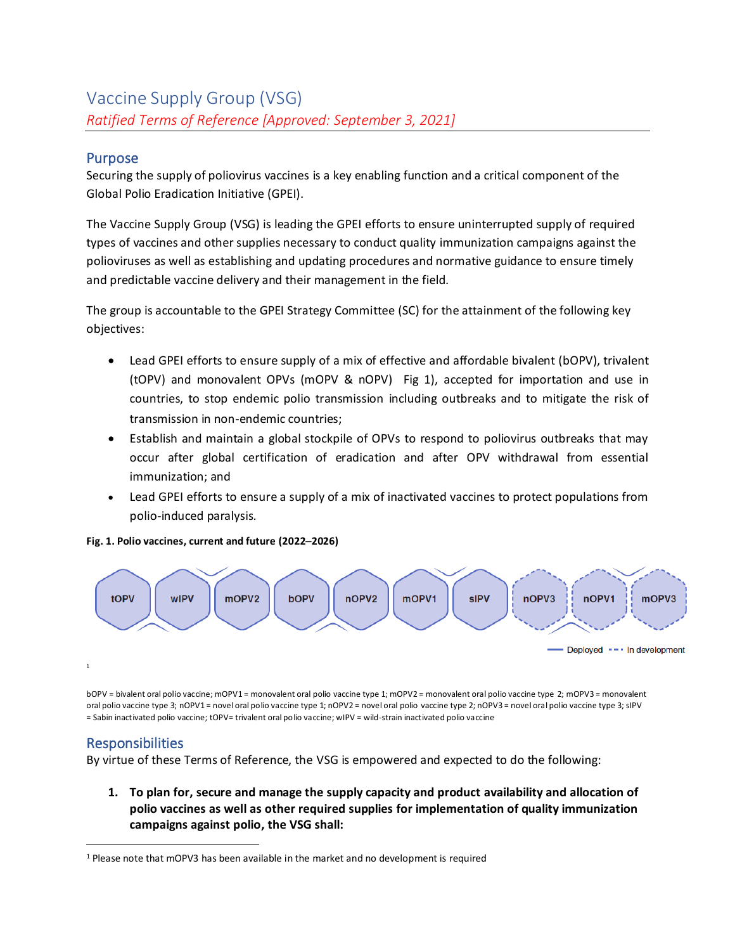## Purpose

Securing the supply of poliovirus vaccines is a key enabling function and a critical component of the Global Polio Eradication Initiative (GPEI).

The Vaccine Supply Group (VSG) is leading the GPEI efforts to ensure uninterrupted supply of required types of vaccines and other supplies necessary to conduct quality immunization campaigns against the polioviruses as well as establishing and updating procedures and normative guidance to ensure timely and predictable vaccine delivery and their management in the field.

The group is accountable to the GPEI Strategy Committee (SC) for the attainment of the following key objectives:

- Lead GPEI efforts to ensure supply of a mix of effective and affordable bivalent (bOPV), trivalent (tOPV) and monovalent OPVs (mOPV & nOPV) Fig 1), accepted for importation and use in countries, to stop endemic polio transmission including outbreaks and to mitigate the risk of transmission in non-endemic countries;
- Establish and maintain a global stockpile of OPVs to respond to poliovirus outbreaks that may occur after global certification of eradication and after OPV withdrawal from essential immunization; and
- Lead GPEI efforts to ensure a supply of a mix of inactivated vaccines to protect populations from polio-induced paralysis.

**Fig. 1. Polio vaccines, current and future (2022**–**2026)**



bOPV = bivalent oral polio vaccine; mOPV1 = monovalent oral polio vaccine type 1; mOPV2 = monovalent oral polio vaccine type 2; mOPV3 = monovalent oral polio vaccine type 3; nOPV1 = novel oral polio vaccine type 1; nOPV2 = novel oral polio vaccine type 2; nOPV3 = novel oral polio vaccine type 3; sIPV = Sabin inactivated polio vaccine; tOPV= trivalent oral polio vaccine; wIPV = wild-strain inactivated polio vaccine

# **Responsibilities**

1

By virtue of these Terms of Reference, the VSG is empowered and expected to do the following:

**1. To plan for, secure and manage the supply capacity and product availability and allocation of polio vaccines as well as other required supplies for implementation of quality immunization campaigns against polio, the VSG shall:**

<sup>1</sup> Please note that mOPV3 has been available in the market and no development is required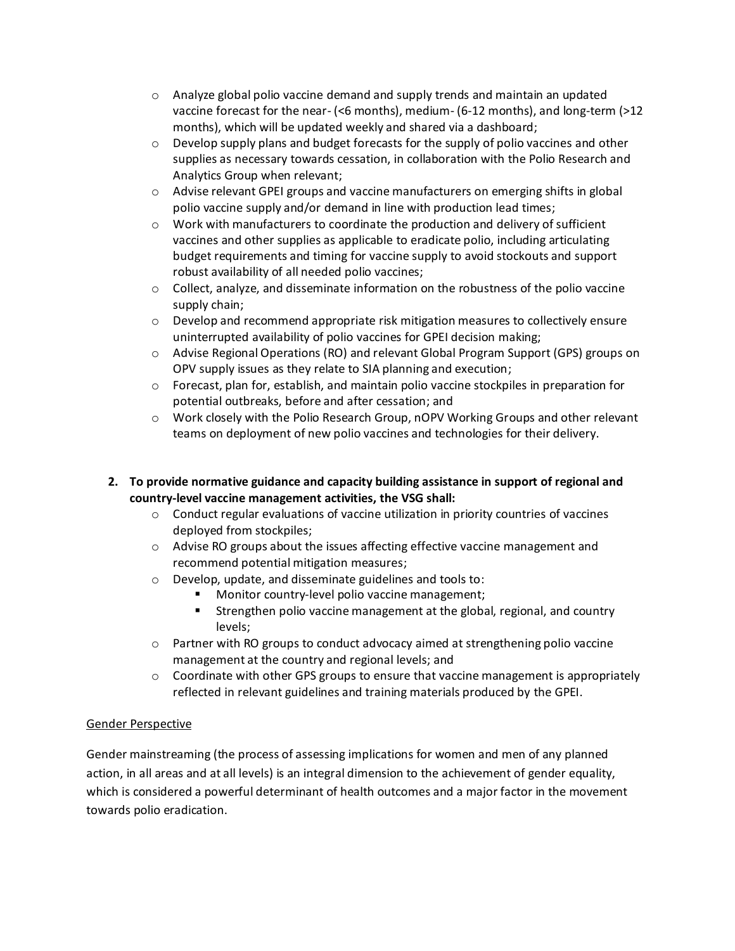- $\circ$  Analyze global polio vaccine demand and supply trends and maintain an updated vaccine forecast for the near- (<6 months), medium- (6-12 months), and long-term (>12 months), which will be updated weekly and shared via a dashboard;
- $\circ$  Develop supply plans and budget forecasts for the supply of polio vaccines and other supplies as necessary towards cessation, in collaboration with the Polio Research and Analytics Group when relevant;
- $\circ$  Advise relevant GPEI groups and vaccine manufacturers on emerging shifts in global polio vaccine supply and/or demand in line with production lead times;
- $\circ$  Work with manufacturers to coordinate the production and delivery of sufficient vaccines and other supplies as applicable to eradicate polio, including articulating budget requirements and timing for vaccine supply to avoid stockouts and support robust availability of all needed polio vaccines;
- $\circ$  Collect, analyze, and disseminate information on the robustness of the polio vaccine supply chain;
- $\circ$  Develop and recommend appropriate risk mitigation measures to collectively ensure uninterrupted availability of polio vaccines for GPEI decision making;
- o Advise Regional Operations (RO) and relevant Global Program Support (GPS) groups on OPV supply issues as they relate to SIA planning and execution;
- o Forecast, plan for, establish, and maintain polio vaccine stockpiles in preparation for potential outbreaks, before and after cessation; and
- o Work closely with the Polio Research Group, nOPV Working Groups and other relevant teams on deployment of new polio vaccines and technologies for their delivery.
- **2. To provide normative guidance and capacity building assistance in support of regional and country-level vaccine management activities, the VSG shall:**
	- $\circ$  Conduct regular evaluations of vaccine utilization in priority countries of vaccines deployed from stockpiles;
	- o Advise RO groups about the issues affecting effective vaccine management and recommend potential mitigation measures;
	- o Develop, update, and disseminate guidelines and tools to:
		- Monitor country-level polio vaccine management;
		- **E** Strengthen polio vaccine management at the global, regional, and country levels;
	- $\circ$  Partner with RO groups to conduct advocacy aimed at strengthening polio vaccine management at the country and regional levels; and
	- $\circ$  Coordinate with other GPS groups to ensure that vaccine management is appropriately reflected in relevant guidelines and training materials produced by the GPEI.

### Gender Perspective

Gender mainstreaming (the process of assessing implications for women and men of any planned action, in all areas and at all levels) is an integral dimension to the achievement of gender equality, which is considered a powerful determinant of health outcomes and a major factor in the movement towards polio eradication.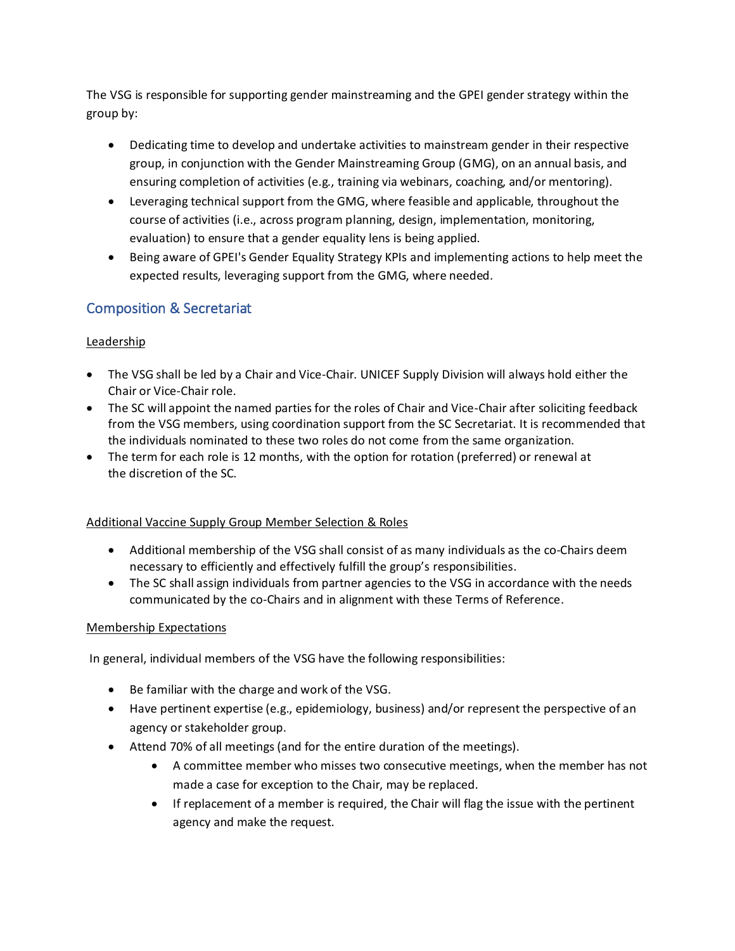The VSG is responsible for supporting gender mainstreaming and the GPEI gender strategy within the group by:

- Dedicating time to develop and undertake activities to mainstream gender in their respective group, in conjunction with the Gender Mainstreaming Group (GMG), on an annual basis, and ensuring completion of activities (e.g., training via webinars, coaching, and/or mentoring).
- Leveraging technical support from the GMG, where feasible and applicable, throughout the course of activities (i.e., across program planning, design, implementation, monitoring, evaluation) to ensure that a gender equality lens is being applied.
- Being aware of GPEI's Gender Equality Strategy KPIs and implementing actions to help meet the expected results, leveraging support from the GMG, where needed.

# Composition & Secretariat

# Leadership

- The VSG shall be led by a Chair and Vice-Chair. UNICEF Supply Division will always hold either the Chair or Vice-Chair role.
- The SC will appoint the named parties for the roles of Chair and Vice-Chair after soliciting feedback from the VSG members, using coordination support from the SC Secretariat. It is recommended that the individuals nominated to these two roles do not come from the same organization.
- The term for each role is 12 months, with the option for rotation (preferred) or renewal at the discretion of the SC.

# Additional Vaccine Supply Group Member Selection & Roles

- Additional membership of the VSG shall consist of as many individuals as the co-Chairs deem necessary to efficiently and effectively fulfill the group's responsibilities.
- The SC shall assign individuals from partner agencies to the VSG in accordance with the needs communicated by the co-Chairs and in alignment with these Terms of Reference.

### Membership Expectations

In general, individual members of the VSG have the following responsibilities:

- Be familiar with the charge and work of the VSG.
- Have pertinent expertise (e.g., epidemiology, business) and/or represent the perspective of an agency or stakeholder group.
- Attend 70% of all meetings (and for the entire duration of the meetings).
	- A committee member who misses two consecutive meetings, when the member has not made a case for exception to the Chair, may be replaced.
	- If replacement of a member is required, the Chair will flag the issue with the pertinent agency and make the request.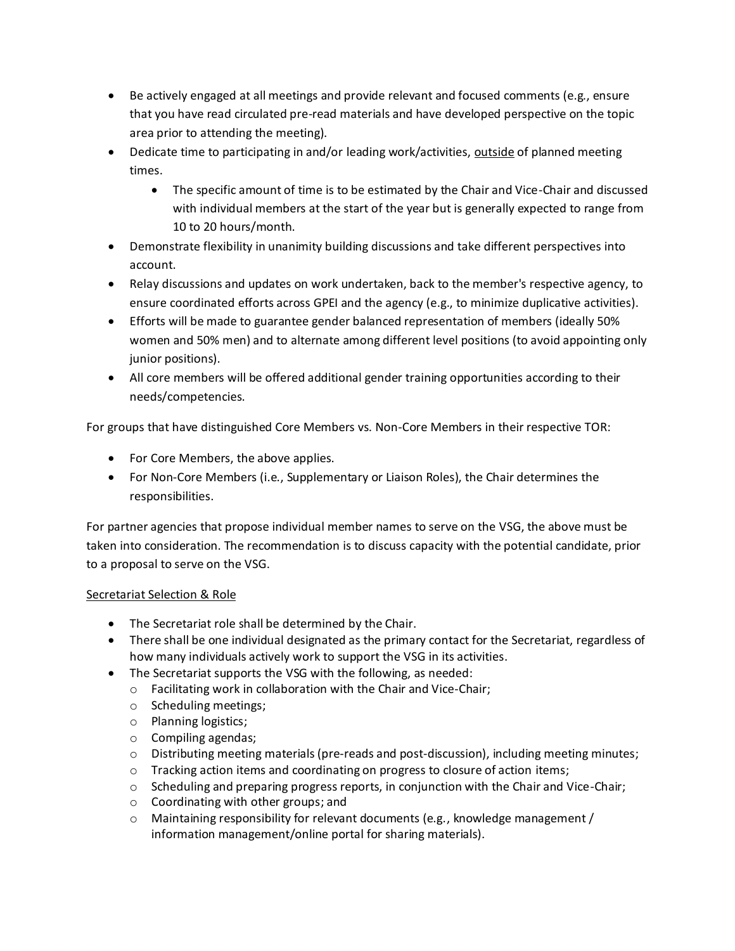- Be actively engaged at all meetings and provide relevant and focused comments (e.g., ensure that you have read circulated pre-read materials and have developed perspective on the topic area prior to attending the meeting).
- Dedicate time to participating in and/or leading work/activities, outside of planned meeting times.
	- The specific amount of time is to be estimated by the Chair and Vice-Chair and discussed with individual members at the start of the year but is generally expected to range from 10 to 20 hours/month.
- Demonstrate flexibility in unanimity building discussions and take different perspectives into account.
- Relay discussions and updates on work undertaken, back to the member's respective agency, to ensure coordinated efforts across GPEI and the agency (e.g., to minimize duplicative activities).
- Efforts will be made to guarantee gender balanced representation of members (ideally 50% women and 50% men) and to alternate among different level positions (to avoid appointing only junior positions).
- All core members will be offered additional gender training opportunities according to their needs/competencies.

For groups that have distinguished Core Members vs. Non-Core Members in their respective TOR:

- For Core Members, the above applies.
- For Non-Core Members (i.e., Supplementary or Liaison Roles), the Chair determines the responsibilities.

For partner agencies that propose individual member names to serve on the VSG, the above must be taken into consideration. The recommendation is to discuss capacity with the potential candidate, prior to a proposal to serve on the VSG.

### Secretariat Selection & Role

- The Secretariat role shall be determined by the Chair.
- There shall be one individual designated as the primary contact for the Secretariat, regardless of how many individuals actively work to support the VSG in its activities.
- The Secretariat supports the VSG with the following, as needed:
	- o Facilitating work in collaboration with the Chair and Vice-Chair;
		- o Scheduling meetings;
		- o Planning logistics;
		- o Compiling agendas;
		- $\circ$  Distributing meeting materials (pre-reads and post-discussion), including meeting minutes;
		- $\circ$  Tracking action items and coordinating on progress to closure of action items;
		- $\circ$  Scheduling and preparing progress reports, in conjunction with the Chair and Vice-Chair;
		- o Coordinating with other groups; and
		- $\circ$  Maintaining responsibility for relevant documents (e.g., knowledge management / information management/online portal for sharing materials).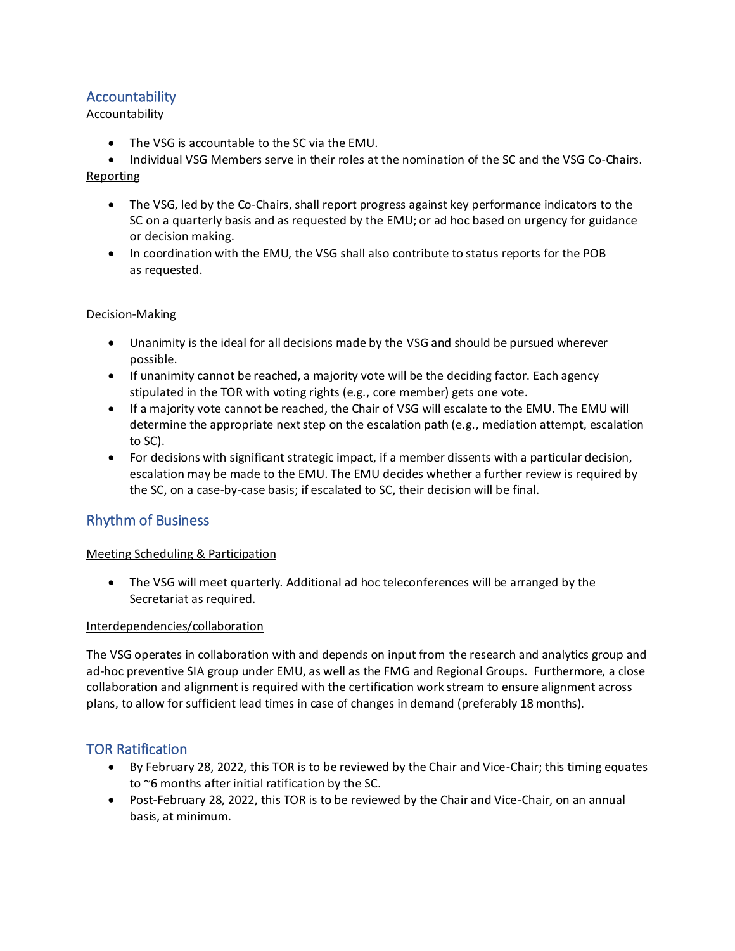# Accountability

#### Accountability

- The VSG is accountable to the SC via the EMU.
- Individual VSG Members serve in their roles at the nomination of the SC and the VSG Co-Chairs.

#### Reporting

- The VSG, led by the Co-Chairs, shall report progress against key performance indicators to the SC on a quarterly basis and as requested by the EMU; or ad hoc based on urgency for guidance or decision making.
- In coordination with the EMU, the VSG shall also contribute to status reports for the POB as requested.

#### Decision-Making

- Unanimity is the ideal for all decisions made by the VSG and should be pursued wherever possible.
- If unanimity cannot be reached, a majority vote will be the deciding factor. Each agency stipulated in the TOR with voting rights (e.g., core member) gets one vote.
- If a majority vote cannot be reached, the Chair of VSG will escalate to the EMU. The EMU will determine the appropriate next step on the escalation path (e.g., mediation attempt, escalation to SC).
- For decisions with significant strategic impact, if a member dissents with a particular decision, escalation may be made to the EMU. The EMU decides whether a further review is required by the SC, on a case-by-case basis; if escalated to SC, their decision will be final.

# Rhythm of Business

### Meeting Scheduling & Participation

• The VSG will meet quarterly. Additional ad hoc teleconferences will be arranged by the Secretariat as required.

#### Interdependencies/collaboration

The VSG operates in collaboration with and depends on input from the research and analytics group and ad-hoc preventive SIA group under EMU, as well as the FMG and Regional Groups. Furthermore, a close collaboration and alignment is required with the certification work stream to ensure alignment across plans, to allow for sufficient lead times in case of changes in demand (preferably 18 months).

### TOR Ratification

- By February 28, 2022, this TOR is to be reviewed by the Chair and Vice-Chair; this timing equates to ~6 months after initial ratification by the SC.
- Post-February 28, 2022, this TOR is to be reviewed by the Chair and Vice-Chair, on an annual basis, at minimum.